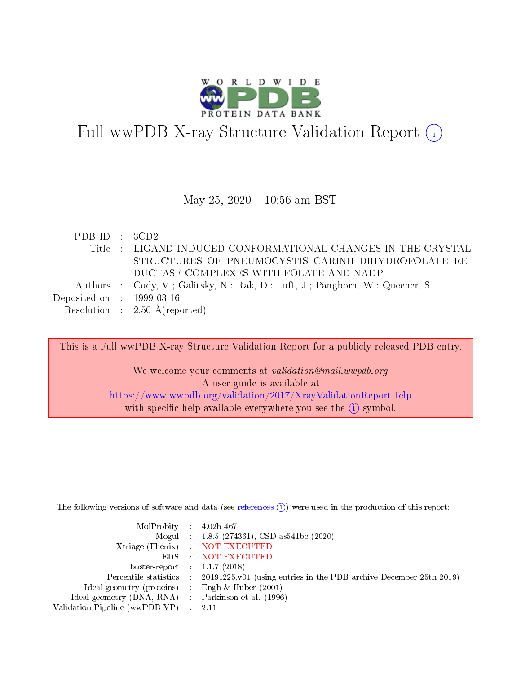

# Full wwPDB X-ray Structure Validation Report (i)

## May 25,  $2020 - 10:56$  am BST

| PDB ID : 3CD2                  |                                                                                |
|--------------------------------|--------------------------------------------------------------------------------|
|                                | Title : LIGAND INDUCED CONFORMATIONAL CHANGES IN THE CRYSTAL                   |
|                                | STRUCTURES OF PNEUMOCYSTIS CARINII DIHYDROFOLATE RE-                           |
|                                | DUCTASE COMPLEXES WITH FOLATE AND NADP+                                        |
|                                | Authors : Cody, V.; Galitsky, N.; Rak, D.; Luft, J.; Pangborn, W.; Queener, S. |
| Deposited on $\,$ : 1999-03-16 |                                                                                |
|                                | Resolution : $2.50 \text{ Å}$ (reported)                                       |

This is a Full wwPDB X-ray Structure Validation Report for a publicly released PDB entry. We welcome your comments at validation@mail.wwpdb.org A user guide is available at <https://www.wwpdb.org/validation/2017/XrayValidationReportHelp> with specific help available everywhere you see the  $(i)$  symbol.

The following versions of software and data (see [references](https://www.wwpdb.org/validation/2017/XrayValidationReportHelp#references)  $(i)$ ) were used in the production of this report:

| MolProbity : $4.02b-467$                            |                                                                                            |
|-----------------------------------------------------|--------------------------------------------------------------------------------------------|
|                                                     | Mogul : $1.8.5$ (274361), CSD as 541be (2020)                                              |
|                                                     | Xtriage (Phenix) NOT EXECUTED                                                              |
|                                                     | EDS : NOT EXECUTED                                                                         |
| buster-report : $1.1.7(2018)$                       |                                                                                            |
|                                                     | Percentile statistics : 20191225.v01 (using entries in the PDB archive December 25th 2019) |
| Ideal geometry (proteins) :                         | Engh & Huber $(2001)$                                                                      |
| Ideal geometry (DNA, RNA) : Parkinson et al. (1996) |                                                                                            |
| Validation Pipeline (wwPDB-VP)                      | -2.11                                                                                      |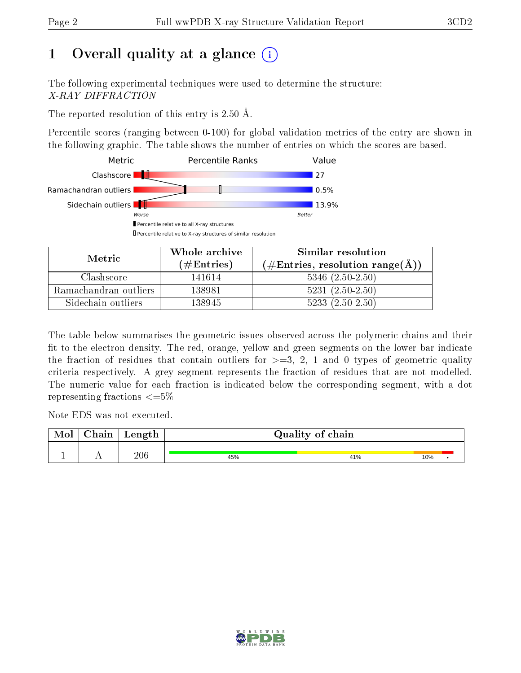# 1 [O](https://www.wwpdb.org/validation/2017/XrayValidationReportHelp#overall_quality)verall quality at a glance  $(i)$

The following experimental techniques were used to determine the structure: X-RAY DIFFRACTION

The reported resolution of this entry is 2.50 Å.

Percentile scores (ranging between 0-100) for global validation metrics of the entry are shown in the following graphic. The table shows the number of entries on which the scores are based.



| Metric.               | Whole archive       | Similar resolution                                 |
|-----------------------|---------------------|----------------------------------------------------|
|                       | (# $\rm{Entries}$ ) | $(\text{\#Entries, resolution range}(\text{\AA}))$ |
| Clashscore            | 141614              | $5346$ $(2.50-2.50)$                               |
| Ramachandran outliers | 138981              | $5231 (2.50 - 2.50)$                               |
| Sidechain outliers    | 138945              | $5233(2.50-2.50)$                                  |

The table below summarises the geometric issues observed across the polymeric chains and their fit to the electron density. The red, orange, yellow and green segments on the lower bar indicate the fraction of residues that contain outliers for  $\geq=3$ , 2, 1 and 0 types of geometric quality criteria respectively. A grey segment represents the fraction of residues that are not modelled. The numeric value for each fraction is indicated below the corresponding segment, with a dot representing fractions  $\epsilon = 5\%$ 

Note EDS was not executed.

| <b>NIOI</b> | aain ' | Length | Quality of chain |     |     |  |  |  |
|-------------|--------|--------|------------------|-----|-----|--|--|--|
|             | . .    | 206    | 45%              | 41% | 10% |  |  |  |

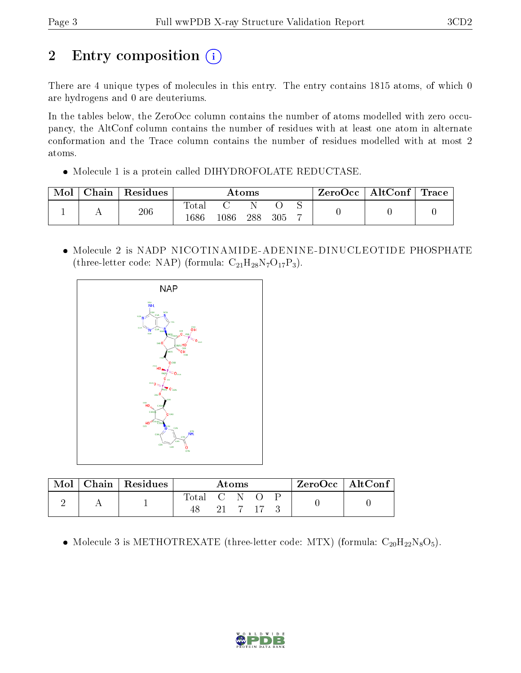# 2 Entry composition (i)

There are 4 unique types of molecules in this entry. The entry contains 1815 atoms, of which 0 are hydrogens and 0 are deuteriums.

In the tables below, the ZeroOcc column contains the number of atoms modelled with zero occupancy, the AltConf column contains the number of residues with at least one atom in alternate conformation and the Trace column contains the number of residues modelled with at most 2 atoms.

• Molecule 1 is a protein called DIHYDROFOLATE REDUCTASE.

| Mol | Chain ' | Residues | Atoms                |      |     | $\text{ZeroOcc}$   AltConf   Trace |  |  |  |
|-----|---------|----------|----------------------|------|-----|------------------------------------|--|--|--|
|     |         | 206      | <b>Total</b><br>1686 | 1086 | 288 | 305                                |  |  |  |

 Molecule 2 is NADP NICOTINAMIDE-ADENINE-DINUCLEOTIDE PHOSPHATE (three-letter code: NAP) (formula:  $C_{21}H_{28}N_7O_{17}P_3$ ).



|  | Chain   Residues | Atoms       |  |  |         | $ZeroOcc \   \ AltConf \  $ |  |  |
|--|------------------|-------------|--|--|---------|-----------------------------|--|--|
|  |                  | Total C N O |  |  | 21 7 17 |                             |  |  |

• Molecule 3 is METHOTREXATE (three-letter code: MTX) (formula:  $C_{20}H_{22}N_8O_5$ ).

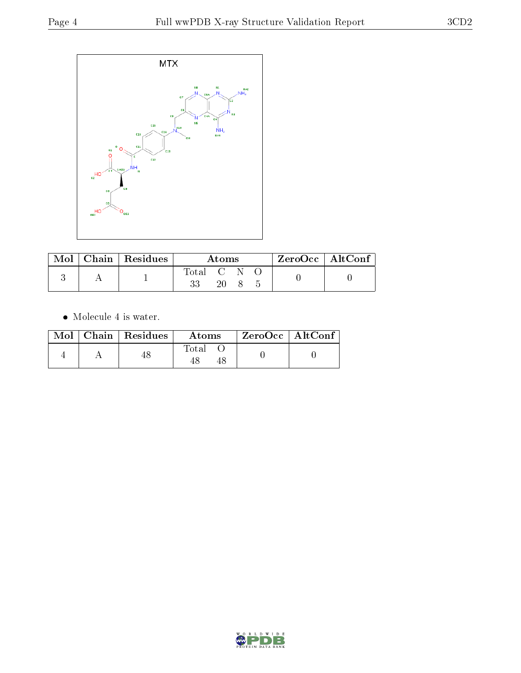

|  | $\text{Mol}$   Chain   Residues | Atoms     |    |  |  | $ZeroOcc \   \$ AltConf |
|--|---------------------------------|-----------|----|--|--|-------------------------|
|  |                                 | Total C N |    |  |  |                         |
|  |                                 |           | 20 |  |  |                         |

 $\bullet\,$  Molecule 4 is water.

|  | $Mol$   Chain   Residues | Atoms | $ZeroOcc \   \ AltConf$ |
|--|--------------------------|-------|-------------------------|
|  |                          | Total |                         |

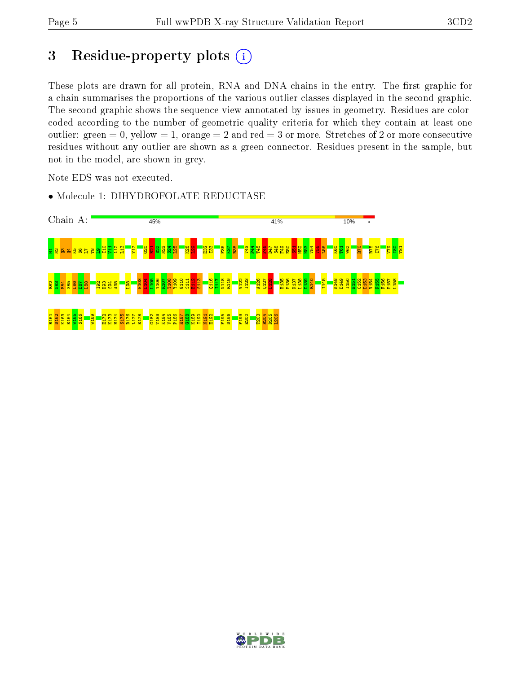# 3 Residue-property plots (i)

These plots are drawn for all protein, RNA and DNA chains in the entry. The first graphic for a chain summarises the proportions of the various outlier classes displayed in the second graphic. The second graphic shows the sequence view annotated by issues in geometry. Residues are colorcoded according to the number of geometric quality criteria for which they contain at least one outlier: green  $= 0$ , yellow  $= 1$ , orange  $= 2$  and red  $= 3$  or more. Stretches of 2 or more consecutive residues without any outlier are shown as a green connector. Residues present in the sample, but not in the model, are shown in grey.

Note EDS was not executed.



• Molecule 1: DIHYDROFOLATE REDUCTASE

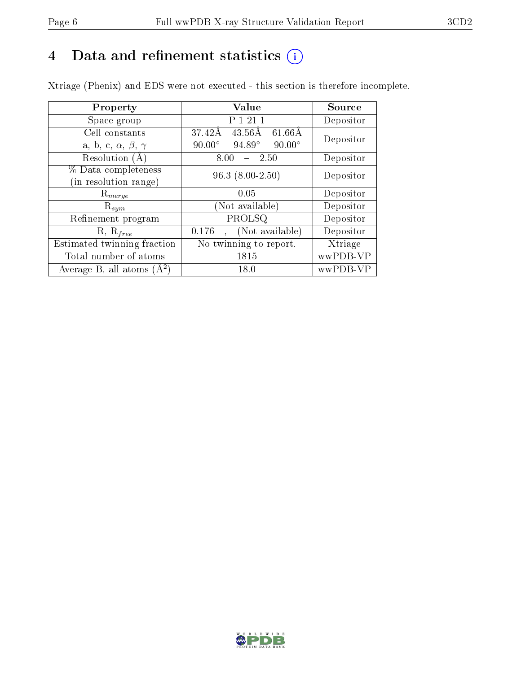# 4 Data and refinement statistics  $(i)$

Xtriage (Phenix) and EDS were not executed - this section is therefore incomplete.

| Property                               | Value                                            | Source    |  |
|----------------------------------------|--------------------------------------------------|-----------|--|
| Space group                            | 1 21 1                                           | Depositor |  |
| Cell constants                         | 37.42Å<br>$43.56\text{\AA}$<br>$61.66\text{\AA}$ | Depositor |  |
| a, b, c, $\alpha$ , $\beta$ , $\gamma$ | $94.89^\circ$<br>$90.00^\circ$<br>$90.00^\circ$  |           |  |
| Resolution $(A)$                       | -2.50<br>8.00                                    | Depositor |  |
| % Data completeness                    | $96.3(8.00-2.50)$                                | Depositor |  |
| (in resolution range)                  |                                                  |           |  |
| $R_{merge}$                            | 0.05                                             | Depositor |  |
| $\mathrm{R}_{sym}$                     | (Not available)                                  | Depositor |  |
| Refinement program                     | $\overline{\text{PROLSQ}}$                       | Depositor |  |
| $R, R_{free}$                          | (Not available)<br>0.176                         | Depositor |  |
| Estimated twinning fraction            | No twinning to report.                           | Xtriage   |  |
| Total number of atoms                  | 1815                                             | wwPDB-VP  |  |
| Average B, all atoms $(A^2)$           | 18.0                                             | wwPDB-VP  |  |

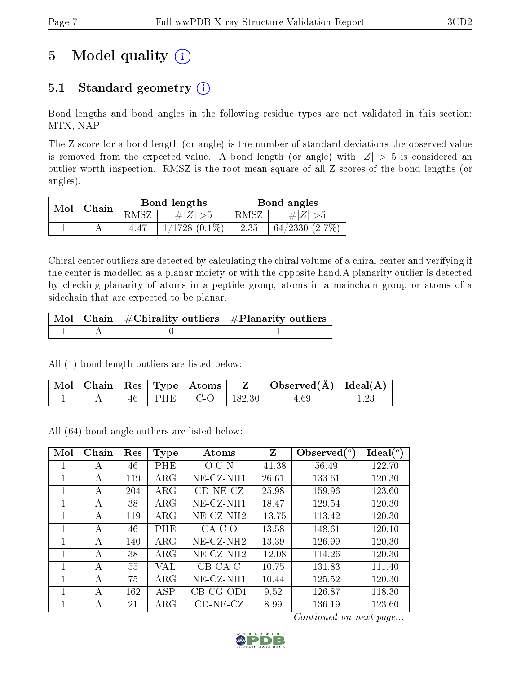# 5 Model quality  $(i)$

# 5.1 Standard geometry  $(i)$

Bond lengths and bond angles in the following residue types are not validated in this section: MTX, NAP

The Z score for a bond length (or angle) is the number of standard deviations the observed value is removed from the expected value. A bond length (or angle) with  $|Z| > 5$  is considered an outlier worth inspection. RMSZ is the root-mean-square of all Z scores of the bond lengths (or angles).

| Mol | Chain |      | Bond lengths       |        | Bond angles      |
|-----|-------|------|--------------------|--------|------------------|
|     |       | RMSZ | $\# Z  > 5$        | RMSZ I | $\# Z >5$        |
|     |       | 4.47 | $1/1728$ $(0.1\%)$ | 2.35   | $+64/2330(2.7%)$ |

Chiral center outliers are detected by calculating the chiral volume of a chiral center and verifying if the center is modelled as a planar moiety or with the opposite hand.A planarity outlier is detected by checking planarity of atoms in a peptide group, atoms in a mainchain group or atoms of a sidechain that are expected to be planar.

|  | $\mid$ Mol $\mid$ Chain $\mid$ #Chirality outliers $\mid$ #Planarity outliers $\mid$ |
|--|--------------------------------------------------------------------------------------|
|  |                                                                                      |

All (1) bond length outliers are listed below:

| Mol | Chain |    | $\vert$ Res $\vert$ Type $\vert$ Atoms |            | Observed $(A)$ | $\mid$ Ideal( ${\rm \AA}$ ) |
|-----|-------|----|----------------------------------------|------------|----------------|-----------------------------|
|     |       | HЕ | $-1$                                   | $182.30\,$ |                |                             |

All (64) bond angle outliers are listed below:

| Mol | Chain | Res | Type       | Atoms        | Z        | Observed $\binom{o}{c}$ | $Ideal(^o)$ |
|-----|-------|-----|------------|--------------|----------|-------------------------|-------------|
| 1   | А     | 46  | PHE        | $O-C-N$      | $-41.38$ | 56.49                   | 122.70      |
| 1   | А     | 119 | $\rm{ARG}$ | $NE-CZ-NH1$  | 26.61    | 133.61                  | 120.30      |
| 1   | А     | 204 | $\rm{ARG}$ | $CD-NE- CZ$  | 25.98    | 159.96                  | 123.60      |
| 1   | А     | 38  | $\rm{ARG}$ | $NE-CZ-NH1$  | 18.47    | 129.54                  | 120.30      |
| 1   | А     | 119 | $\rm{ARG}$ | $NE-CZ-NH2$  | $-13.75$ | 113.42                  | 120.30      |
| 1   | А     | 46  | PHE        | $CA-C-O$     | 13.58    | 148.61                  | 120.10      |
| 1   | А     | 140 | $\rm{ARG}$ | $NE- CZ-NH2$ | 13.39    | 126.99                  | 120.30      |
| 1   | А     | 38  | $\rm{ARG}$ | $NE- CZ-NH2$ | $-12.08$ | 114.26                  | 120.30      |
| 1   | А     | 55  | VAL        | $CB-CA-C$    | 10.75    | 131.83                  | 111.40      |
|     | А     | 75  | $\rm{ARG}$ | $NE- CZ-NH1$ | 10.44    | 125.52                  | 120.30      |
| 1   | А     | 162 | ASP        | $CB-CG-OD1$  | 9.52     | 126.87                  | 118.30      |
|     | А     | 21  | $\rm{ARG}$ | $CD-NE- CZ$  | 8.99     | 136.19                  | 123.60      |

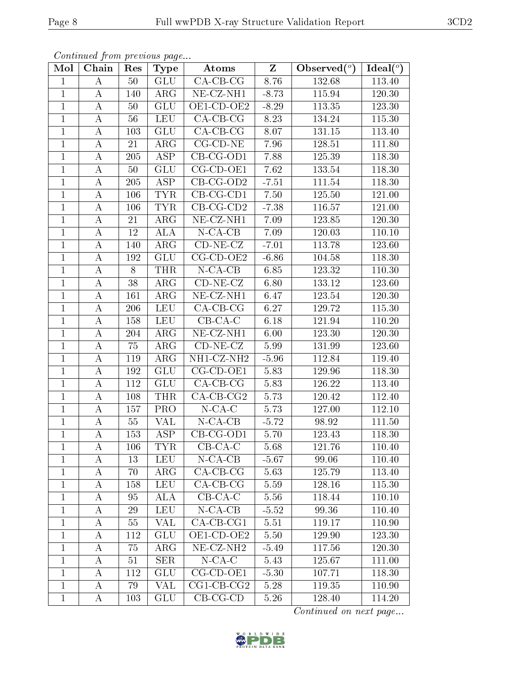)  $\overline{}$  Ideal( $^o$ )

|              | Continued from previous page |                      |             |                                           |         |                |                             |
|--------------|------------------------------|----------------------|-------------|-------------------------------------------|---------|----------------|-----------------------------|
| Mol          | Chain                        | Res                  | <b>Type</b> | Atoms                                     | Z       | Observed $(°)$ | Ideal $(^{\circ}$           |
|              | A                            | 50                   | GLU         | $CA-CB-CG$                                | 8.76    | 132.68         | 113.40                      |
| 1            | A                            | 140                  | $\rm{ARG}$  | $NE- CZ-NH1$                              | $-8.73$ | 115.94         | 120.30                      |
| 1            | А                            | 50                   | GLU         | OE1-CD-OE2                                | $-8.29$ | 113.35         | 123.30                      |
| 1            | А                            | 56                   | LEU         | $CA-CB-CG$                                | 8.23    | 134.24         | 115.30                      |
| 1            | A                            | 103                  | GLU         | $CA-CB-CG$                                | 8.07    | 131.15         | 113.40                      |
| 1            | A                            | 21                   | $\rm{ARG}$  | $CG$ - $CD$ - $NE$                        | 7.96    | 128.51         | 111.80                      |
| 1            | A                            | 205                  | ASP         | $CB-CG-OD1$                               | 7.88    | 125.39         | 118.30                      |
| 1            | A                            | 50                   | GLU         | $CG$ - $CD$ - $OE1$                       | 7.62    | 133.54         | 118.30                      |
| 1            | А                            | 205                  | ASP         | $CB-CG-OD2$                               | $-7.51$ | 111.54         | 118.30                      |
| 1            | A                            | 106                  | TYR.        | $CB-CG-CD1$                               | 7.50    | 125.50         | 121.00                      |
| $\mathbf{H}$ | $\mathbf{A}$                 | $\sim$ $\sim$ $\sim$ | m375        | $\cap$ $\cap$ $\cap$ $\cap$ $\cap$ $\cap$ | $-$ 00  | 110 Pm         | $\sim$ $\sim$ $\sim$ $\sim$ |

| $\perp$      | $\mathbf{\mathcal{A}}$ | IJΟ     | U U U                 | ULI-UL-ULZ                     | $-0.29$  | 119.99                        | 179.90 |
|--------------|------------------------|---------|-----------------------|--------------------------------|----------|-------------------------------|--------|
| 1            | А                      | 56      | <b>LEU</b>            | $CA-CB-CG$                     | 8.23     | 134.24                        | 115.30 |
| $\mathbf{1}$ | А                      | 103     | <b>GLU</b>            | $CA$ -CB-CG                    | 8.07     | 131.15                        | 113.40 |
| $\mathbf{1}$ | А                      | 21      | $\rm{ARG}$            | $CG$ - $CD$ - $NE$             | 7.96     | 128.51                        | 111.80 |
| $\mathbf{1}$ | А                      | 205     | <b>ASP</b>            | CB-CG-OD1                      | 7.88     | 125.39                        | 118.30 |
| $\mathbf{1}$ | А                      | 50      | <b>GLU</b>            | CG-CD-OE1                      | 7.62     | 133.54                        | 118.30 |
| $\mathbf{1}$ | А                      | $205\,$ | <b>ASP</b>            | $CB-CG-OD2$                    | $-7.51$  | 111.54                        | 118.30 |
| $\mathbf{1}$ | А                      | 106     | <b>TYR</b>            | $CB-CG-CD1$                    | 7.50     | 125.50                        | 121.00 |
| $\mathbf{1}$ | А                      | 106     | <b>TYR</b>            | $CB-CG-CD2$                    | $-7.38$  | 116.57                        | 121.00 |
| $\mathbf{1}$ | А                      | 21      | $\overline{\rm{ARG}}$ | $NE- CZ-NH1$                   | 7.09     | 123.85                        | 120.30 |
| $\mathbf{1}$ | А                      | 12      | ALA                   | $N$ -CA-CB                     | 7.09     | 120.03                        | 110.10 |
| $\mathbf{1}$ | A                      | 140     | $\rm{ARG}$            | $CD-NE- CZ$                    | $-7.01$  | 113.78                        | 123.60 |
| $\mathbf{1}$ | А                      | 192     | <b>GLU</b>            | $CG-CD-OE2$                    | $-6.86$  | 104.58                        | 118.30 |
| $\mathbf{1}$ | А                      | 8       | <b>THR</b>            | $N$ -CA-CB                     | 6.85     | 123.32                        | 110.30 |
| $\mathbf{1}$ | А                      | 38      | $\rm{ARG}$            | $CD-NE- CZ$                    | 6.80     | 133.12                        | 123.60 |
| $\mathbf{1}$ | А                      | 161     | $\rm{ARG}$            | $NE- CZ-NH1$                   | 6.47     | 123.54                        | 120.30 |
| $\mathbf{1}$ | А                      | 206     | <b>LEU</b>            | $CA$ -CB-CG                    | 6.27     | 129.72                        | 115.30 |
| $\mathbf{1}$ | A                      | 158     | <b>LEU</b>            | $CB-CA-C$                      | 6.18     | 121.94                        | 110.20 |
| $\mathbf{1}$ | Α                      | 204     | $\rm{ARG}$            | $\overline{\text{NE}}$ -CZ-NH1 | 6.00     | 123.30                        | 120.30 |
| $\mathbf{1}$ | A                      | 75      | $\rm{ARG}$            | $CD-NE- CZ$                    | 5.99     | 131.99                        | 123.60 |
| $\mathbf{1}$ | A                      | 119     | $\rm{ARG}$            | NH1-CZ-NH2                     | $-5.96$  | 112.84                        | 119.40 |
| $\mathbf{1}$ | A                      | 192     | <b>GLU</b>            | CG-CD-OE1                      | 5.83     | 129.96                        | 118.30 |
| $\mathbf{1}$ | А                      | 112     | <b>GLU</b>            | $CA$ -CB-CG                    | 5.83     | 126.22                        | 113.40 |
| $\mathbf{1}$ | А                      | 108     | <b>THR</b>            | $CA-CB-CG2$                    | 5.73     | 120.42                        | 112.40 |
| $\mathbf{1}$ | А                      | 157     | PRO                   | $N$ -CA-C                      | 5.73     | 127.00                        | 112.10 |
| $\mathbf{1}$ | A                      | 55      | VAL                   | $N$ -CA-CB                     | $-5.72$  | 98.92                         | 111.50 |
| $\mathbf{1}$ | А                      | 153     | ASP                   | $CB-CG-OD1$                    | 5.70     | 123.43                        | 118.30 |
| $\mathbf{1}$ | А                      | 106     | <b>TYR</b>            | $CB-CA-C$                      | 5.68     | 121.76                        | 110.40 |
| $\mathbf{1}$ | Α                      | 13      | <b>LEU</b>            | $N$ -CA-CB                     | $-5.67$  | 99.06                         | 110.40 |
| $\mathbf 1$  | $\boldsymbol{A}$       | 70      | $\rm{ARG}$            | $CA-CB-CG$                     | 5.63     | 125.79                        | 113.40 |
|              | Α                      | 158     | LEU                   | $CA-CB-CG$                     | 5.59     | 128.16                        | 115.30 |
| 1            | А                      | 95      | <b>ALA</b>            | $CB-CA-C$                      | 5.56     | 118.44                        | 110.10 |
| $\mathbf{1}$ | A                      | 29      | <b>LEU</b>            | $N-CA-CB$                      | $-5.52$  | 99.36                         | 110.40 |
| $\mathbf{1}$ | А                      | $55\,$  | VAL                   | $CA$ -CB-CG1                   | 5.51     | 119.17                        | 110.90 |
| $\mathbf{1}$ | A                      | 112     | GLU                   | OE1-CD-OE2                     | 5.50     | 129.90                        | 123.30 |
| $\mathbf{1}$ | А                      | 75      | $\rm{ARG}$            | $NE- CZ-NH2$                   | $-5.49$  | 117.56                        | 120.30 |
| $\mathbf{1}$ | A                      | $51\,$  | <b>SER</b>            | $N$ -CA-C                      | 5.43     | 125.67                        | 111.00 |
| $\mathbf{1}$ | А                      | 112     | <b>GLU</b>            | CG-CD-OE1                      | $-5.30$  | 107.71                        | 118.30 |
| $\mathbf{1}$ | A                      | 79      | VAL                   | $CG1$ - $CB$ - $CG2$           | $5.28\,$ | 119.35                        | 110.90 |
| $\mathbf 1$  | A                      | 103     | GLU                   | $CB-CG-CD$                     | 5.26     | $128.40\,$                    | 114.20 |
|              |                        |         |                       |                                |          | <i>Continued on next page</i> |        |

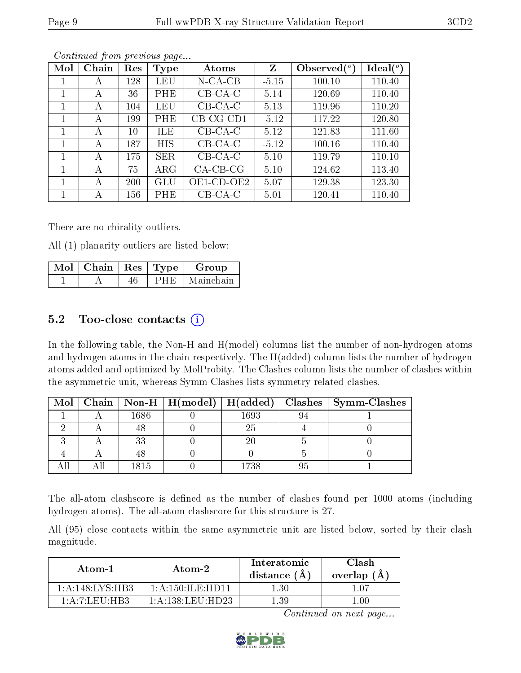| Mol | Chain | Res    | <b>Type</b> | Atoms         | Z       | Observed $(°)$ | Ideal $(^\circ)$ |
|-----|-------|--------|-------------|---------------|---------|----------------|------------------|
|     | А     | 128    | LEU         | $N$ -CA-CB    | $-5.15$ | 100.10         | 110.40           |
| 1   | А     | 36     | PHE         | $CB-CA-C$     | 5.14    | 120.69         | 110.40           |
|     | A     | 104    | <b>LEU</b>  | $CB-CA-C$     | 5.13    | 119.96         | 110.20           |
| 1   | А     | 199    | PHE         | $CB-CG-CD1$   | $-5.12$ | 117.22         | 120.80           |
| 1   | А     | $10\,$ | <b>ILE</b>  | $CB-CA-C$     | 5.12    | 121.83         | 111.60           |
|     | А     | 187    | HIS         | $CB-CA-C$     | $-5.12$ | 100.16         | 110.40           |
| 1   | А     | 175    | <b>SER</b>  | $CB-CA-C$     | 5.10    | 119.79         | 110.10           |
| 1   | А     | 75     | $\rm{ARG}$  | $CA-CB-CG$    | 5.10    | 124.62         | 113.40           |
|     | А     | 200    | <b>GLU</b>  | $OE1$ -CD-OE2 | 5.07    | 129.38         | 123.30           |
|     | А     | 156    | PHE         | $CB-CA-C$     | 5.01    | 120.41         | 110.40           |

Continued from previous page...

There are no chirality outliers.

All (1) planarity outliers are listed below:

| $\overline{\text{Mol}}$   Chain   Res   Type $\overline{\ }$ |  | Group     |
|--------------------------------------------------------------|--|-----------|
|                                                              |  | Mainchain |

### 5.2 Too-close contacts  $(i)$

In the following table, the Non-H and H(model) columns list the number of non-hydrogen atoms and hydrogen atoms in the chain respectively. The H(added) column lists the number of hydrogen atoms added and optimized by MolProbity. The Clashes column lists the number of clashes within the asymmetric unit, whereas Symm-Clashes lists symmetry related clashes.

| Mol |      |      | Chain   Non-H   H(model)   H(added)   Clashes   Symm-Clashes |
|-----|------|------|--------------------------------------------------------------|
|     | 1686 | 1693 |                                                              |
|     |      | 25   |                                                              |
|     | 33   |      |                                                              |
|     |      |      |                                                              |
|     | 1815 | 1738 |                                                              |

The all-atom clashscore is defined as the number of clashes found per 1000 atoms (including hydrogen atoms). The all-atom clashscore for this structure is 27.

All (95) close contacts within the same asymmetric unit are listed below, sorted by their clash magnitude.

| Atom-1                           | Atom-2                         | Interatomic<br>distance $(A)$ | Clash<br>overlap $(A)$ |  |
|----------------------------------|--------------------------------|-------------------------------|------------------------|--|
| 1:A:148:LYS:HB3                  | $1:$ A $:150:$ IL E HD11       | 1.30                          | 1 A 7                  |  |
| $1:$ A $:$ $7:$ L EU $:$ H B $3$ | $1:$ A $:138:$ LEU $:$ HD $23$ | 1 39                          | ' 00                   |  |

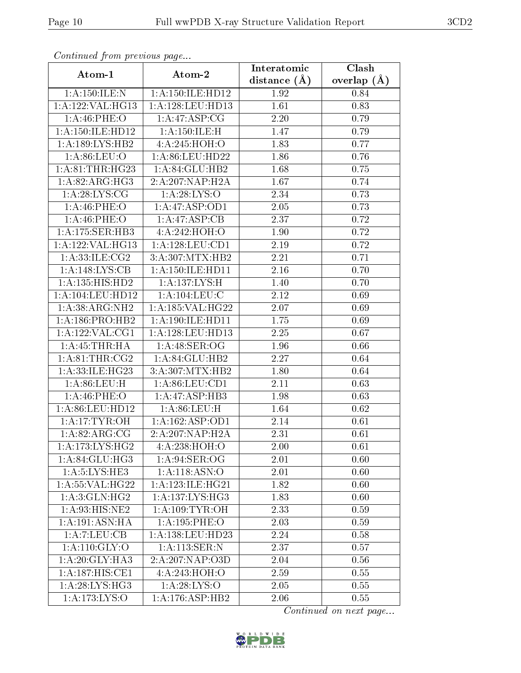| Communa from previous page  |                            | Interatomic    | Clash         |  |
|-----------------------------|----------------------------|----------------|---------------|--|
| Atom-1                      | Atom-2                     | distance $(A)$ | overlap $(A)$ |  |
| 1: A:150: ILE:N             | 1: A: 150: ILE: HD12       | 1.92           | 0.84          |  |
| 1:A:122:VAL:HG13            | 1: A:128: LEU: HD13        | 1.61           | 0.83          |  |
| 1:A:46:PHE:O                | 1:A:47:ASP:CG              | 2.20           | 0.79          |  |
| 1: A: 150: ILE: HD12        | $1:$ A:150:ILE:H           | 1.47           | 0.79          |  |
| 1:A:189:LYS:HB2             | 4: A:245:HOH:O             | 1.83           | 0.77          |  |
| 1: A:86: LEU:O              | 1:A:86:LEU:HD22            | 1.86           | 0.76          |  |
| 1: A:81:THR:HG23            | 1:A:84:GLU:HB2             | 1.68           | 0.75          |  |
| 1: A:82: ARG:HG3            | 2:A:207:NAP:H2A            | 1.67           | 0.74          |  |
| 1: A:28: LYS: CG            | 1: A:28:LYS:O              | 2.34           | 0.73          |  |
| 1:A:46:PHE:O                | 1:A:47:ASP:OD1             | 2.05           | 0.73          |  |
| 1: A:46:PHE:O               | 1:A:47:ASP:CB              | 2.37           | 0.72          |  |
| 1:A:175:SER:HB3             | 4:A:242:HOH:O              | 1.90           | 0.72          |  |
| $1:$ A:122:VAL:HG13         | 1:A:128:LEU:CD1            | 2.19           | 0.72          |  |
| 1: A:33: ILE: CG2           | 3:A:307:MTX:HB2            | 2.21           | 0.71          |  |
| 1:A:148:LYS:CB              | 1: A: 150: ILE: HD11       | 2.16           | 0.70          |  |
| 1:A:135:HIS:HD2             | 1: A: 137: LYS:H           | 1.40           | 0.70          |  |
| 1:A:104:LEU:HD12            | 1: A: 104: LEU: C          | 2.12           | 0.69          |  |
| 1:A:38:ARG:NH2              | 1:A:185:VAL:HG22           | 2.07           | 0.69          |  |
| 1:A:186:PRO:HB2             | 1:A:190:ILE:HD11           | 1.75           | 0.69          |  |
| 1: A: 122: VAL: CG1         | 1:A:128:LEU:HD13           | 2.25           | 0.67          |  |
| 1:A:45:THR:HA               | 1: A:48: SER:OG            | 1.96           | 0.66          |  |
| 1: A:81:THR:CG2             | 1:A:84:GLU:HB2             | 2.27           | 0.64          |  |
| 1:A:33:ILE:HG23             | 3:A:307:MTX:HB2            | 1.80           | 0.64          |  |
| 1: A:86:LEU:H               | 1: A:86: LEU:CD1           | 2.11           | 0.63          |  |
| 1: A:46:PHE:O               | 1:A:47:ASP:HB3             | 1.98           | 0.63          |  |
| 1:A:86:LEU:HD12             | 1: A:86: LEU:H             | 1.64           | 0.62          |  |
| 1:A:17:TYR:OH               | 1:A:162:ASP:OD1            | 2.14           | 0.61          |  |
| $1: \overline{A:82:ARG:CG}$ | 2:A:207:NAP:H2A            | 2.31           | 0.61          |  |
| 1: A:173: LYS: HG2          | 4:A:238:HOH:O              | 2.00           | 0.61          |  |
| 1:A:84:GLU:HG3              | 1:A:94:SER:OG              | 2.01           | 0.60          |  |
| 1: A:5: LYS: HE3            | $1:A:118.\overline{ASN:O}$ | 2.01           | 0.60          |  |
| 1:A:55:VAL:HG22             | 1: A:123: ILE: HG21        | 1.82           | 0.60          |  |
| 1: A:3: GLN: HG2            | 1: A: 137: LYS: HG3        | 1.83           | 0.60          |  |
| 1:A:93:HIS:NE2              | 1: A:109: TYR:OH           | 2.33           | 0.59          |  |
| 1:A:191:ASN:HA              | $1:$ A:195:PHE:O           | 2.03           | 0.59          |  |
| 1:A:7:LEU:CB                | 1:A:138:LEU:HD23           | 2.24           | 0.58          |  |
| 1: A:110: GLY:O             | 1:A:113:SER:N              | 2.37           | 0.57          |  |
| 1:A:20:GLY:HA3              | 2:A:207:NAP:O3D            | 2.04           | 0.56          |  |
| 1:A:187:HIS:CE1             | 4: A:243:HOH:O             | 2.59           | 0.55          |  |
| 1: A:28: LYS:HG3            | 1: A:28:LYS:O              | 2.05           | 0.55          |  |
| 1:A:173:LYS:O               | 1:A:176:ASP:HB2            | 2.06           | 0.55          |  |

Continued from previous page.

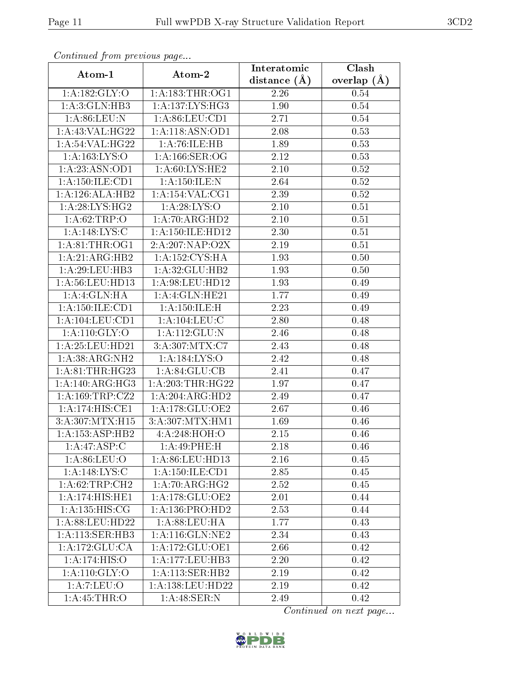| Continuata from previous page |                                      | Interatomic      | Clash         |  |
|-------------------------------|--------------------------------------|------------------|---------------|--|
| Atom-1                        | Atom-2                               | distance $(\AA)$ | overlap $(A)$ |  |
| 1:A:182:GLY:O                 | 1: A: 183: THR: OG1                  | 2.26             | 0.54          |  |
| 1: A:3: GLN: HB3              | 1: A: 137: LYS: HG3                  | 1.90             | $0.54\,$      |  |
| 1: A:86: LEU: N               | 1: A:86:LEU:CD1                      | 2.71             | $0.54\,$      |  |
| 1:A:43:VAL:HG22               | 1:A:118:ASN:OD1                      | 2.08             | 0.53          |  |
| 1: A:54:VAL:HG22              | 1:A:76:ILE:HB                        | 1.89             | 0.53          |  |
| 1: A: 163: LYS: O             | 1: A: 166: SER: OG                   | 2.12             | 0.53          |  |
| 1:A:23:ASN:OD1                | 1: A:60: LYS: HE2                    | $2.10\,$         | 0.52          |  |
| 1: A: 150: ILE: CD1           | 1: A: 150: ILE:N                     | 2.64             | 0.52          |  |
| 1:A:126:ALA:HB2               | 1: A: 154: VAL: CG1                  | 2.39             | 0.52          |  |
| 1: A:28: LYS:HG2              | 1: A:28: LYS:O                       | 2.10             | 0.51          |  |
| 1: A:62:TRP:O                 | 1:A:70:ARG:HD2                       | 2.10             | 0.51          |  |
| 1:A:148:LYS:C                 | 1: A:150: ILE: HD12                  | 2.30             | 0.51          |  |
| 1: A:81:THR:OG1               | 2:A:207:NAP:O2X                      | 2.19             | 0.51          |  |
| 1:A:21:ARG:HB2                | 1: A: 152: CYS: HA                   | 1.93             | 0.50          |  |
| 1:A:29:LEU:HB3                | 1:A:32:GLU:HB2                       | 1.93             | 0.50          |  |
| 1: A:56:LEU:HD13              | $1: A:98: \text{LEU:HD12}$           | 1.93             | 0.49          |  |
| 1:A:4:GLN:HA                  | 1:A:4:GLN:HE21                       | 1.77             | 0.49          |  |
| 1: A: 150: ILE: CD1           | 1: A: 150: ILE:H                     | 2.23             | 0.49          |  |
| 1:A:104:LEU:CD1               | 1: A: 104: LEU: C                    | 2.80             | 0.48          |  |
| 1: A:110: GLY:O               | 1:A:112:GLU:N                        | 2.46             | 0.48          |  |
| 1:A:25:LEU:HD21               | $3: A:307: \overline{\text{MTX}:C7}$ | 2.43             | 0.48          |  |
| 1:A:38:ARG:NH2                | 1:A:184:LYS:O                        | 2.42             | 0.48          |  |
| 1: A:81:THR:HG23              | 1: A:84: GLU:CB                      | 2.41             | 0.47          |  |
| 1:A:140:ARG:HG3               | 1: A:203:THR:HG22                    | 1.97             | 0.47          |  |
| 1: A: 169: TRP: CZ2           | 1:A:204:ARG:HD2                      | 2.49             | 0.47          |  |
| 1: A:174:HIS:CE1              | 1:A:178:GLU:OE2                      | 2.67             | 0.46          |  |
| 3:A:307:MTX:H15               | 3:A:307:MTX:HM1                      | 1.69             | 0.46          |  |
| 1:A:153:ASP:HB2               | 4:A:248:HOH:O                        | 2.15             | 0.46          |  |
| 1:A:47:ASP:C                  | 1:A:49:PHE:H                         | 2.18             | 0.46          |  |
| 1: A:86: LEU:O                | 1:A:86:LEU:HD13                      | 2.16             | 0.45          |  |
| 1: A:148: LYS:C               | 1: A: 150: ILE: CD1                  | 2.85             | 0.45          |  |
| 1:A:62:TRP:CH2                | 1: A:70:ARG:HG2                      | 2.52             | 0.45          |  |
| 1:A:174:HIS:HE1               | 1: A:178: GLU:OE2                    | 2.01             | 0.44          |  |
| 1:A:135:HIS:CG                | 1: A: 136: PRO: HD2                  | 2.53             | 0.44          |  |
| 1: A:88:LEU:HD22              | $1: A:88: \text{LEU}: \text{HA}$     | 1.77             | 0.43          |  |
| 1:A:113:SER:HB3               | 1: A:116: GLN:NE2                    | 2.34             | 0.43          |  |
| 1: A:172: GLU:CA              | 1: A:172: GLU:OE1                    | 2.66             | 0.42          |  |
| 1:A:174:HIS:O                 | 1:A:177:LEU:HB3                      | 2.20             | 0.42          |  |
| 1: A:110: GLY:O               | 1: A:113: SER: HB2                   | 2.19             | 0.42          |  |
| 1: A: 7: LEU: O               | 1: A: 138: LEU: HD22                 | 2.19             | 0.42          |  |
| 1:A:45:THR:O                  | 1: A:48: SER: N                      | 2.49             | 0.42          |  |

Continued from previous page.

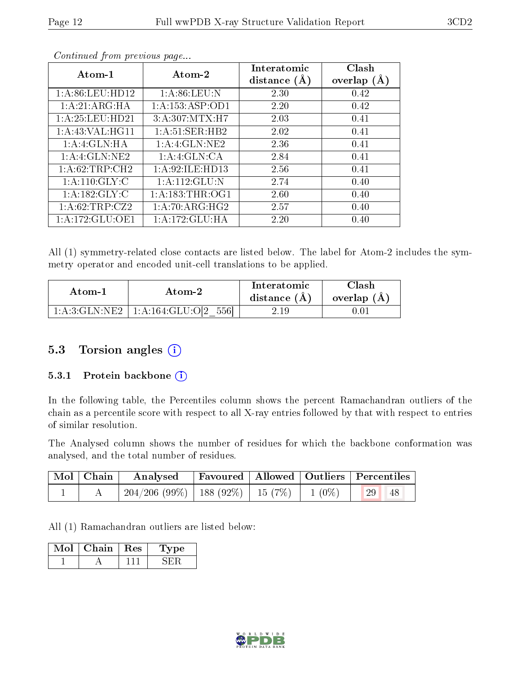| Atom-1              | Atom-2              | Interatomic<br>distance $(A)$ | Clash<br>overlap $(A)$ |
|---------------------|---------------------|-------------------------------|------------------------|
| 1: A:86: LEU:HD12   | 1: A:86: LEU: N     | 2.30                          | 0.42                   |
| 1:A:21:ARG:HA       | 1:A:153:ASP:OD1     | 2.20                          | 0.42                   |
| 1:A:25:LEU:HD21     | 3:A:307:MTX:H7      | 2.03                          | 0.41                   |
| 1: A: 43: VAL: HG11 | 1: A:51:SER:HB2     | 2.02                          | 0.41                   |
| 1:A:4:GLN:HA        | 1:A:4:GLN:NE2       | 2.36                          | 0.41                   |
| 1:A:4:GLN:NE2       | 1:A:4:GLN:CA        | 2.84                          | 0.41                   |
| 1:A:62:TRP:CH2      | 1: A:92: ILE: HD13  | 2.56                          | 0.41                   |
| 1: A:110: GLY: C    | 1: A: 112: GLU: N   | 2.74                          | 0.40                   |
| 1: A: 182: GLY: C   | 1: A: 183: THR: OG1 | 2.60                          | 0.40                   |
| 1:A:62:TRP:CZ2      | 1: A:70:ARG:HG2     | 2.57                          | 0.40                   |
| 1:A:172:GLU:OE1     | 1:A:172:GLU:HA      | 2.20                          | 0.40                   |

Continued from previous page...

All (1) symmetry-related close contacts are listed below. The label for Atom-2 includes the symmetry operator and encoded unit-cell translations to be applied.

| Atom-1                  | Atom-2                       | Interatomic<br>distance $(A)$ | Clash<br>overlap (A) |
|-------------------------|------------------------------|-------------------------------|----------------------|
| $1: A:3: GLN:NE2 \perp$ | $\perp$ 1:A:164:GLU:O[2 556] | 2.19                          | I.U.                 |

### 5.3 Torsion angles (i)

#### 5.3.1 Protein backbone (i)

In the following table, the Percentiles column shows the percent Ramachandran outliers of the chain as a percentile score with respect to all X-ray entries followed by that with respect to entries of similar resolution.

The Analysed column shows the number of residues for which the backbone conformation was analysed, and the total number of residues.

| Mol   Chain | Analysed                                           |  | Favoured   Allowed   Outliers   Percentiles |
|-------------|----------------------------------------------------|--|---------------------------------------------|
|             | $204/206$ (99\%)   188 (92\%)   15 (7\%)   1 (0\%) |  | 29 <br>48                                   |

All (1) Ramachandran outliers are listed below:

| Chain | Res | эе |
|-------|-----|----|
|       |     |    |

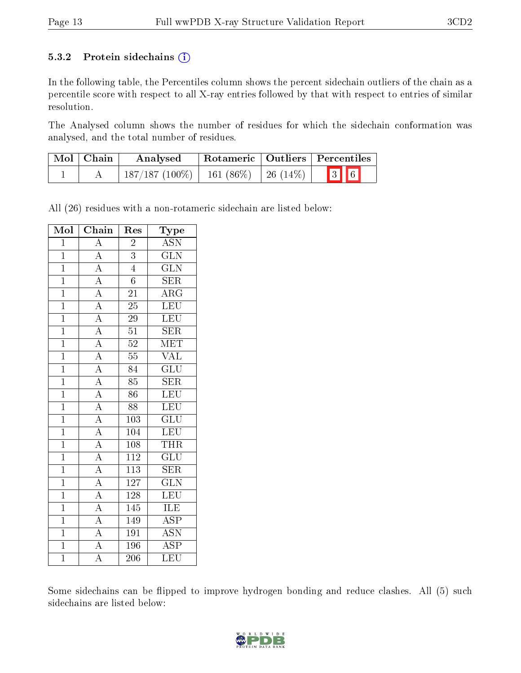#### 5.3.2 Protein sidechains  $(i)$

In the following table, the Percentiles column shows the percent sidechain outliers of the chain as a percentile score with respect to all X-ray entries followed by that with respect to entries of similar resolution.

The Analysed column shows the number of residues for which the sidechain conformation was analysed, and the total number of residues.

| Mol   Chain | Analysed                                   |  | Rotameric   Outliers   Percentiles |  |
|-------------|--------------------------------------------|--|------------------------------------|--|
|             | $187/187 (100\%)$   161 (86\%)   26 (14\%) |  | $\boxed{3}$ $\boxed{6}$            |  |

All (26) residues with a non-rotameric sidechain are listed below:

| Mol            | Chain                               | Res              | Type                    |
|----------------|-------------------------------------|------------------|-------------------------|
| $\mathbf{1}$   | $\overline{A}$                      | $\overline{2}$   | <b>ASN</b>              |
| $\mathbf{1}$   | $\overline{A}$                      | $\overline{3}$   | $\overline{\text{GLN}}$ |
| $\overline{1}$ |                                     | $\overline{4}$   | $\overline{\text{GLN}}$ |
| $\overline{1}$ | $\frac{\overline{A}}{\overline{A}}$ | $\sqrt{6}$       | <b>SER</b>              |
| $\overline{1}$ | $\frac{\overline{A}}{\overline{A}}$ | 21               | $\overline{\rm{ARG}}$   |
| $\mathbf{1}$   |                                     | 25               | LEU                     |
| $\overline{1}$ |                                     | $\overline{29}$  | $\overline{\text{LEU}}$ |
| $\overline{1}$ | $\frac{\overline{A}}{\overline{A}}$ | 51               | <b>SER</b>              |
| $\mathbf{1}$   |                                     | $\overline{52}$  | $\overline{\text{MET}}$ |
| $\overline{1}$ | $\frac{\overline{A}}{\overline{A}}$ | $\overline{55}$  | $\overline{\text{VAL}}$ |
| $\mathbf{1}$   |                                     | 84               | $\overline{\text{GLU}}$ |
| $\overline{1}$ | $\frac{\overline{A}}{\overline{A}}$ | $\overline{85}$  | $\overline{\text{SER}}$ |
| $\mathbf{1}$   |                                     | 86               | <b>LEU</b>              |
| $\overline{1}$ | $\overline{A}$                      | 88               | $\overline{\text{LEU}}$ |
| $\overline{1}$ | $\overline{A}$                      | 103              | $\overline{\text{GLU}}$ |
| $\overline{1}$ | $\frac{\overline{A}}{\overline{A}}$ | 104              | $\overline{\text{LEU}}$ |
| $\overline{1}$ |                                     | $\overline{108}$ | <b>THR</b>              |
| $\overline{1}$ | $\frac{\overline{A}}{\overline{A}}$ | 112              | $\overline{{\rm GLU}}$  |
| $\overline{1}$ |                                     | $\overline{113}$ | $\overline{\text{SER}}$ |
| $\overline{1}$ |                                     | 127              | $\overline{\text{GLN}}$ |
| $\mathbf{1}$   | $\overline{A}$                      | 128              | LEU                     |
| $\overline{1}$ | $\overline{A}$                      | 145              | ILE                     |
| $\overline{1}$ | $\overline{A}$                      | 149              | $\overline{\rm ASP}$    |
| $\overline{1}$ | $\frac{\overline{A}}{\overline{A}}$ | $\overline{191}$ | $\overline{\text{ASN}}$ |
| $\mathbf{1}$   |                                     | 196              | $\overline{\text{ASP}}$ |
| $\mathbf{1}$   | $\overline{\rm A}$                  | 206              | <b>LEU</b>              |

Some sidechains can be flipped to improve hydrogen bonding and reduce clashes. All (5) such sidechains are listed below:

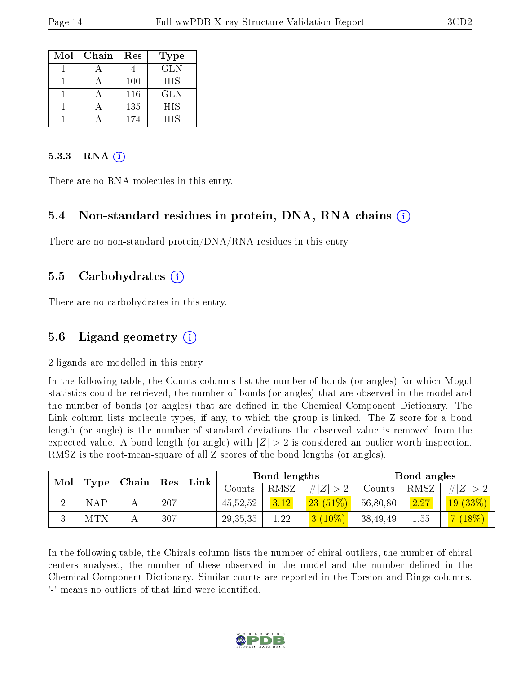| Mol | Chain | Res | <b>Type</b> |
|-----|-------|-----|-------------|
|     |       |     | <b>GLN</b>  |
|     |       | 100 | <b>HIS</b>  |
|     |       | 116 | <b>GLN</b>  |
|     |       | 135 | <b>HIS</b>  |
|     |       | 174 | HIS         |

#### $5.3.3$  RNA  $(i)$

There are no RNA molecules in this entry.

#### 5.4 Non-standard residues in protein, DNA, RNA chains (i)

There are no non-standard protein/DNA/RNA residues in this entry.

#### 5.5 Carbohydrates (i)

There are no carbohydrates in this entry.

#### 5.6 Ligand geometry (i)

2 ligands are modelled in this entry.

In the following table, the Counts columns list the number of bonds (or angles) for which Mogul statistics could be retrieved, the number of bonds (or angles) that are observed in the model and the number of bonds (or angles) that are defined in the Chemical Component Dictionary. The Link column lists molecule types, if any, to which the group is linked. The Z score for a bond length (or angle) is the number of standard deviations the observed value is removed from the expected value. A bond length (or angle) with  $|Z| > 2$  is considered an outlier worth inspection. RMSZ is the root-mean-square of all Z scores of the bond lengths (or angles).

| Mol |      | Chain | Res | Link                         |            | Bond lengths |            |          | Bond angles |            |
|-----|------|-------|-----|------------------------------|------------|--------------|------------|----------|-------------|------------|
|     | Type |       |     |                              | Counts     | RMSZ         | H Z        | Counts   | RMSZ        | H Z        |
|     | NAP  |       | 207 | $\qquad \qquad \blacksquare$ | 45,52,52   | 3.12         | $23(51\%)$ | 56,80,80 | 2.27        | $19(33\%)$ |
|     | MTX  |       | 307 | -                            | 29, 35, 35 | 1.22         | $3(10\%)$  | 38,49,49 | 1.55        | $(18\%)$   |

In the following table, the Chirals column lists the number of chiral outliers, the number of chiral centers analysed, the number of these observed in the model and the number defined in the Chemical Component Dictionary. Similar counts are reported in the Torsion and Rings columns. '-' means no outliers of that kind were identified.

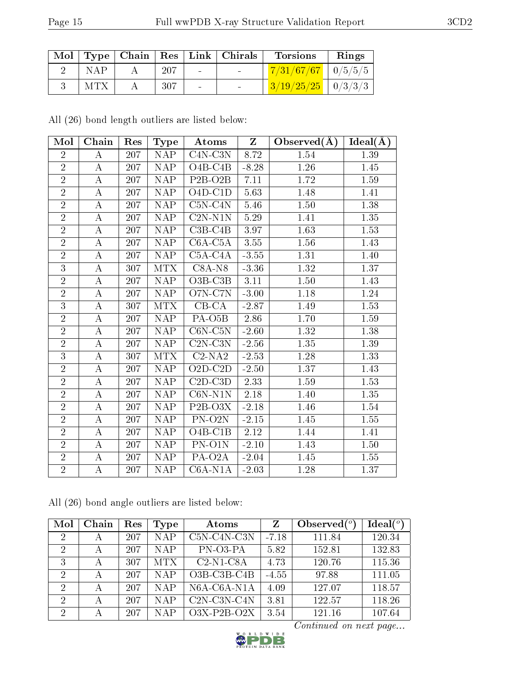|            |      | Mol   Type   Chain   Res   Link   Chirals | <b>Torsions</b>                        | Rings |
|------------|------|-------------------------------------------|----------------------------------------|-------|
| <b>NAP</b> | -207 |                                           | $\boxed{7/31/67/67}$ $\boxed{0/5/5/5}$ |       |
| MTX        | 307  |                                           | $3/19/25/25$   0/3/3/3                 |       |

All (26) bond length outliers are listed below:

| Mol            | Chain            | Res | <b>Type</b>             | Atoms                             | $\mathbf{Z}$ | Observed $(A)$ | Ideal(A) |
|----------------|------------------|-----|-------------------------|-----------------------------------|--------------|----------------|----------|
| $\overline{2}$ | А                | 207 | <b>NAP</b>              | $C4N-C3N$                         | 8.72         | 1.54           | 1.39     |
| $\overline{2}$ | $\boldsymbol{A}$ | 207 | <b>NAP</b>              | $O4B-C4B$                         | $-8.28$      | 1.26           | 1.45     |
| $\overline{2}$ | $\boldsymbol{A}$ | 207 | NAP                     | $P2B-O2B$                         | 7.11         | 1.72           | 1.59     |
| $\overline{2}$ | А                | 207 | <b>NAP</b>              | $\overline{O4D-C1}D$              | 5.63         | 1.48           | 1.41     |
| $\overline{2}$ | A                | 207 | <b>NAP</b>              | $C5N-C4N$                         | 5.46         | 1.50           | 1.38     |
| $\overline{2}$ | $\boldsymbol{A}$ | 207 | <b>NAP</b>              | $C2N- N1N$                        | 5.29         | 1.41           | $1.35\,$ |
| $\overline{2}$ | $\boldsymbol{A}$ | 207 | <b>NAP</b>              | $C3B-C4B$                         | 3.97         | 1.63           | 1.53     |
| $\overline{2}$ | A                | 207 | <b>NAP</b>              | $C6A-C5A$                         | 3.55         | 1.56           | 1.43     |
| $\overline{2}$ | $\boldsymbol{A}$ | 207 | <b>NAP</b>              | $C5A-C4A$                         | $-3.55$      | 1.31           | 1.40     |
| $\overline{3}$ | $\boldsymbol{A}$ | 307 | <b>MTX</b>              | $C8A-NS$                          | $-3.36$      | 1.32           | 1.37     |
| $\overline{2}$ | $\boldsymbol{A}$ | 207 | NAP                     | $O3B-C3B$                         | $3.11\,$     | 1.50           | 1.43     |
| $\overline{2}$ | $\bf{A}$         | 207 | NAP                     | O7N-C7N                           | $-3.00$      | 1.18           | 1.24     |
| 3              | А                | 307 | <b>MTX</b>              | $CB-CA$                           | $-2.87$      | 1.49           | 1.53     |
| $\overline{2}$ | $\overline{A}$   | 207 | $\overline{\text{NAP}}$ | PA-O <sub>5</sub> B               | 2.86         | 1.70           | 1.59     |
| $\overline{2}$ | A                | 207 | <b>NAP</b>              | $C6N-C5N$                         | $-2.60$      | 1.32           | 1.38     |
| $\overline{2}$ | $\boldsymbol{A}$ | 207 | <b>NAP</b>              | $C2N-C3N$                         | $-2.56$      | 1.35           | 1.39     |
| $\overline{3}$ | $\boldsymbol{A}$ | 307 | <b>MTX</b>              | $C2-NA2$                          | $-2.53$      | 1.28           | 1.33     |
| $\overline{2}$ | $\bf{A}$         | 207 | NAP                     | $O2D-C2D$                         | $-2.50$      | 1.37           | 1.43     |
| $\overline{2}$ | А                | 207 | <b>NAP</b>              | $C2D-C3D$                         | 2.33         | 1.59           | 1.53     |
| $\overline{2}$ | А                | 207 | <b>NAP</b>              | $C6N- N1N$                        | 2.18         | 1.40           | 1.35     |
| $\overline{2}$ | $\boldsymbol{A}$ | 207 | <b>NAP</b>              | P <sub>2</sub> B-O <sub>3</sub> X | $-2.18$      | 1.46           | 1.54     |
| $\overline{2}$ | $\boldsymbol{A}$ | 207 | <b>NAP</b>              | PN-O2N                            | $-2.15$      | 1.45           | 1.55     |
| $\overline{2}$ | А                | 207 | <b>NAP</b>              | $O4B-C1B$                         | 2.12         | 1.44           | 1.41     |
| $\overline{2}$ | А                | 207 | <b>NAP</b>              | $\overline{PN-O}1N$               | $-2.10$      | 1.43           | 1.50     |
| $\overline{2}$ | $\boldsymbol{A}$ | 207 | <b>NAP</b>              | PA-O2A                            | $-2.04$      | 1.45           | $1.55\,$ |
| $\overline{2}$ | A                | 207 | <b>NAP</b>              | $C6A-N1A$                         | $-2.03$      | 1.28           | 1.37     |

All (26) bond angle outliers are listed below:

| Mol            | Chain | Res | Type       | Atoms                                    | Z       | Observed $(^\circ)$ | Ideal(°) |
|----------------|-------|-----|------------|------------------------------------------|---------|---------------------|----------|
| $\overline{2}$ | А     | 207 | N A P      | C5N-C4N-C3N                              | $-7.18$ | 111.84              | 120.34   |
| $\overline{2}$ | А     | 207 | N A P      | PN-03-PA                                 | 5.82    | 152.81              | 132.83   |
| 3              | А     | 307 | <b>MTX</b> | $C2-N1-C8A$                              | 4.73    | 120.76              | 115.36   |
| $\overline{2}$ | А     | 207 | <b>NAP</b> | $O3B$ -C <sub>3</sub> B-C <sub>4</sub> B | $-4.55$ | 97.88               | 111.05   |
| 2              | А     | 207 | N A P      | $N6A$ -C $6A$ -N $1A$                    | 4.09    | 127.07              | 118.57   |
| $\overline{2}$ | А     | 207 | <b>NAP</b> | $C2N-C3N-C4N$                            | 3.81    | 122.57              | 118.26   |
| $\overline{2}$ | А     | 207 | NAP        | $O3X-P2B-O2X$                            | 3.54    | 121.16              | 107.64   |

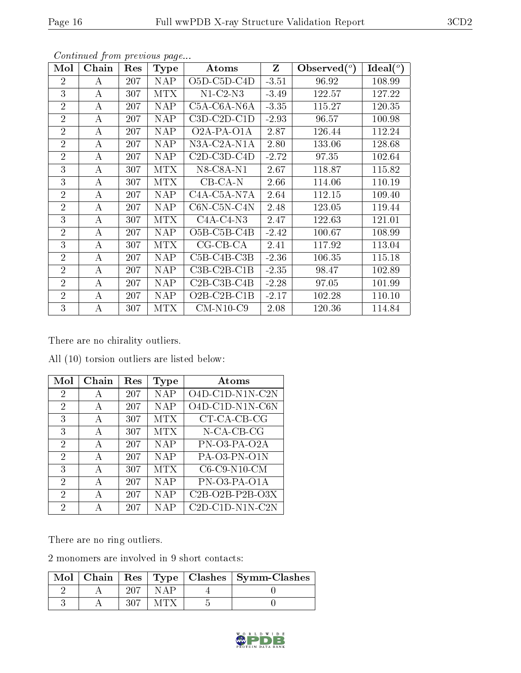| Mol            | Chain    | $\operatorname{Res}% \left( \mathcal{N}\right) \equiv\operatorname{Res}(\mathcal{N}_{0})\left( \mathcal{N}_{0}\right) ^{2}$ | <b>Type</b> | Atoms                                              | $\mathbf{Z}$ | Observed $(°)$ | Ideal $(^\circ)$ |
|----------------|----------|-----------------------------------------------------------------------------------------------------------------------------|-------------|----------------------------------------------------|--------------|----------------|------------------|
| $\overline{2}$ | А        | 207                                                                                                                         | <b>NAP</b>  | O <sub>5</sub> D-C <sub>5</sub> D-C <sub>4</sub> D | $-3.51$      | 96.92          | 108.99           |
| 3              | А        | 307                                                                                                                         | <b>MTX</b>  | $N1-C2-N3$                                         | $-3.49$      | 122.57         | 127.22           |
| $\overline{2}$ | A        | 207                                                                                                                         | <b>NAP</b>  | $C5A-C6A-NGA$                                      | $-3.35$      | 115.27         | 120.35           |
| $\overline{2}$ | А        | 207                                                                                                                         | <b>NAP</b>  | $C3D-C2D-C1D$                                      | $-2.93$      | 96.57          | 100.98           |
| $\overline{2}$ | А        | 207                                                                                                                         | <b>NAP</b>  | O <sub>2</sub> A-PA-O <sub>1</sub> A               | 2.87         | 126.44         | 112.24           |
| $\overline{2}$ | А        | 207                                                                                                                         | <b>NAP</b>  | N3A-C2A-N1A                                        | 2.80         | 133.06         | 128.68           |
| $\overline{2}$ | A        | 207                                                                                                                         | <b>NAP</b>  | $C2D$ - $C3D$ - $C4D$                              | $-2.72$      | 97.35          | 102.64           |
| 3              | А        | 307                                                                                                                         | <b>MTX</b>  | $N8$ -C8A-N1                                       | 2.67         | 118.87         | 115.82           |
| 3              | A        | 307                                                                                                                         | <b>MTX</b>  | $CB-CA-N$                                          | 2.66         | 114.06         | 110.19           |
| $\overline{2}$ | А        | 207                                                                                                                         | <b>NAP</b>  | C4A-C5A-N7A                                        | 2.64         | 112.15         | 109.40           |
| $\overline{2}$ | А        | 207                                                                                                                         | <b>NAP</b>  | C6N-C5N-C4N                                        | 2.48         | 123.05         | 119.44           |
| 3              | A        | 307                                                                                                                         | <b>MTX</b>  | $C4A-C4-N3$                                        | 2.47         | 122.63         | 121.01           |
| $\overline{2}$ | $\bf{A}$ | 207                                                                                                                         | <b>NAP</b>  | $O5B$ -C5B-C4B                                     | $-2.42$      | 100.67         | 108.99           |
| 3              | А        | 307                                                                                                                         | <b>MTX</b>  | $CG-CB-CA$                                         | 2.41         | 117.92         | 113.04           |
| $\overline{2}$ | А        | 207                                                                                                                         | <b>NAP</b>  | $C5B-C4B-C3B$                                      | $-2.36$      | 106.35         | 115.18           |
| $\overline{2}$ | $\bf{A}$ | 207                                                                                                                         | <b>NAP</b>  | $C3B-C2B-C1B$                                      | $-2.35$      | 98.47          | 102.89           |
| $\overline{2}$ | А        | 207                                                                                                                         | <b>NAP</b>  | $C2B-C3B-C4B$                                      | $-2.28$      | 97.05          | 101.99           |
| $\overline{2}$ | А        | 207                                                                                                                         | <b>NAP</b>  | O2B-C2B-C1B                                        | $-2.17$      | 102.28         | 110.10           |
| 3              | А        | 307                                                                                                                         | <b>MTX</b>  | $CM-N10-C9$                                        | 2.08         | 120.36         | 114.84           |

Continued from previous page...

There are no chirality outliers.

All (10) torsion outliers are listed below:

| Mol            | Chain        | Res | Type       | Atoms                         |
|----------------|--------------|-----|------------|-------------------------------|
| $\overline{2}$ | А            | 207 | <b>NAP</b> | $\overline{O4D}$ -C1D-N1N-C2N |
| 2              | A            | 207 | NAP        | O4D-C1D-N1N-C6N               |
| 3              | A            | 307 | <b>MTX</b> | CT-CA-CB-CG                   |
| 3              | А            | 307 | <b>MTX</b> | N-CA-CB-CG                    |
| $\overline{2}$ | A            | 207 | NAP        | $PN-O3-PA-O2A$                |
| 2              | А            | 207 | <b>NAP</b> | PA-03-PN-01N                  |
| 3              | $\mathbf{A}$ | 307 | <b>MTX</b> | $C6$ - $C9$ - $N10$ - $CM$    |
| 2              | А            | 207 | NAP        | PN-03-PA-01A                  |
| $\overline{2}$ | А            | 207 | N A P      | $C2B-O2B-P2B-O3X$             |
| 2              | А            | 207 | NAP        | $C2D- C1D-N1N- C2N$           |

There are no ring outliers.

2 monomers are involved in 9 short contacts:

|  |  | Mol   Chain   Res   Type   Clashes   Symm-Clashes |
|--|--|---------------------------------------------------|
|  |  |                                                   |
|  |  |                                                   |

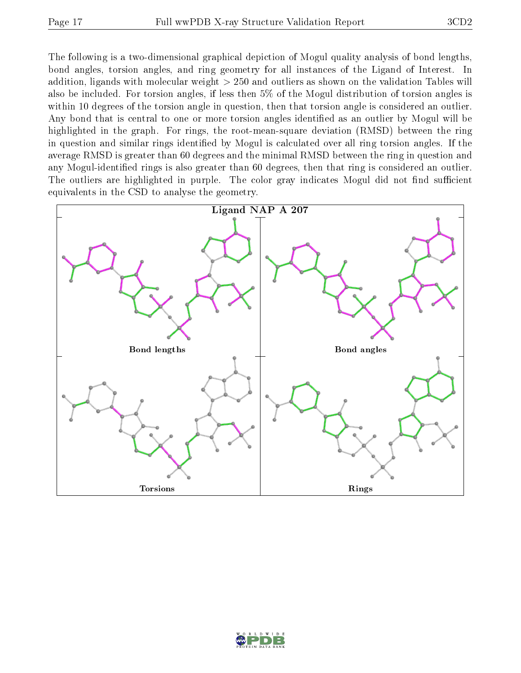The following is a two-dimensional graphical depiction of Mogul quality analysis of bond lengths, bond angles, torsion angles, and ring geometry for all instances of the Ligand of Interest. In addition, ligands with molecular weight > 250 and outliers as shown on the validation Tables will also be included. For torsion angles, if less then 5% of the Mogul distribution of torsion angles is within 10 degrees of the torsion angle in question, then that torsion angle is considered an outlier. Any bond that is central to one or more torsion angles identified as an outlier by Mogul will be highlighted in the graph. For rings, the root-mean-square deviation (RMSD) between the ring in question and similar rings identified by Mogul is calculated over all ring torsion angles. If the average RMSD is greater than 60 degrees and the minimal RMSD between the ring in question and any Mogul-identied rings is also greater than 60 degrees, then that ring is considered an outlier. The outliers are highlighted in purple. The color gray indicates Mogul did not find sufficient equivalents in the CSD to analyse the geometry.



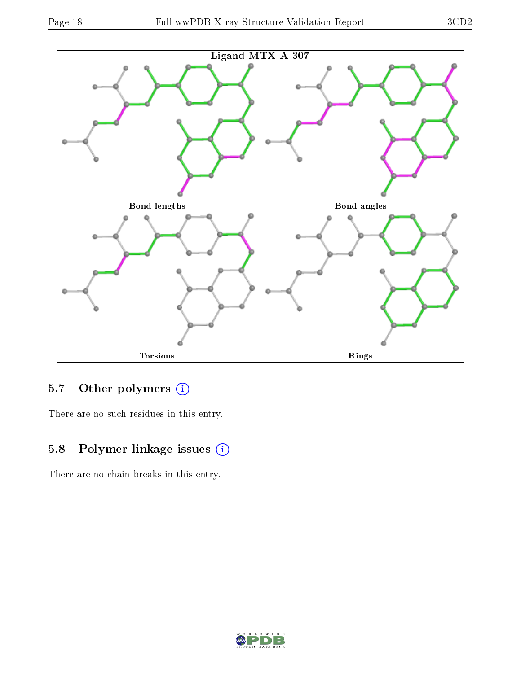

## 5.7 [O](https://www.wwpdb.org/validation/2017/XrayValidationReportHelp#nonstandard_residues_and_ligands)ther polymers (i)

There are no such residues in this entry.

# 5.8 Polymer linkage issues (i)

There are no chain breaks in this entry.